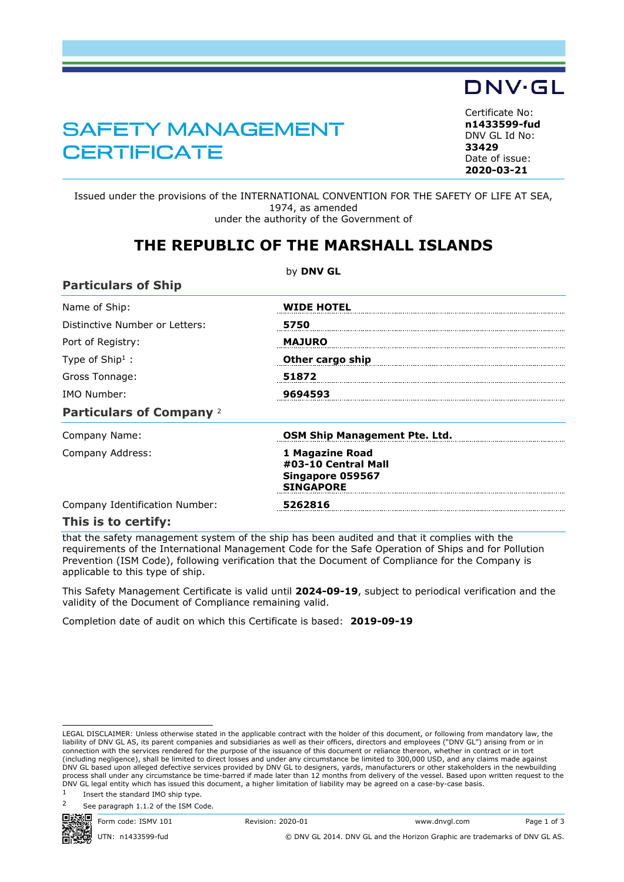## SAFETY MANAGEMENT **CERTIFICATE**

<span id="page-0-0"></span>Certificate No: **n1433599-fud** DNV GL Id No: **33429** Date of issue: **[2020-03-21](#page-1-0)**

DNV·GL

Issued under the provisions of the INTERNATIONAL CONVENTION FOR THE SAFETY OF LIFE AT SEA, 1974, as amended under the authority of the Government of

## **THE REPUBLIC OF THE MARSHALL ISLANDS**

|                                 | by DNV GL                                                                      |
|---------------------------------|--------------------------------------------------------------------------------|
| <b>Particulars of Ship</b>      |                                                                                |
| Name of Ship:                   | <b>WIDE HOTEL</b>                                                              |
| Distinctive Number or Letters:  | 5750                                                                           |
| Port of Registry:               | <b>MAJURO</b>                                                                  |
| Type of $Ship1$ :               | Other cargo ship                                                               |
| Gross Tonnage:                  | 51872                                                                          |
| IMO Number:                     | 9694593                                                                        |
| <b>Particulars of Company 2</b> |                                                                                |
| Company Name:                   | OSM Ship Management Pte. Ltd.                                                  |
| Company Address:                | 1 Magazine Road<br>#03-10 Central Mall<br>Singapore 059567<br><b>SINGAPORE</b> |
| Company Identification Number:  | 5262816                                                                        |
| This is to certify:             |                                                                                |

that the safety management system of the ship has been audited and that it complies with the requirements of the International Management Code for the Safe Operation of Ships and for Pollution Prevention (ISM Code), following verification that the Document of Compliance for the Company is applicable to this type of ship.

This Safety Management Certificate is valid until **2024-09-19**, subject to periodical verification and the validity of the Document of Compliance remaining valid.

Completion date of audit on which this Certificate is based: **2019-09-19**

See paragraph 1.1.2 of the ISM Code.



Form code: ISMV 101 Revision: 2020-01 www.dnvgl.com Page 1 of 3

UTN: n1433599-fud © DNV GL 2014. DNV GL and the Horizon Graphic are trademarks of DNV GL AS.

LEGAL DISCLAIMER: Unless otherwise stated in the applicable contract with the holder of this document, or following from mandatory law, the liability of DNV GL AS, its parent companies and subsidiaries as well as their officers, directors and employees ("DNV GL") arising from or in<br>connection with the services rendered for the purpose of the issuance of this d (including negligence), shall be limited to direct losses and under any circumstance be limited to 300,000 USD, and any claims made against<br>DNV GL based upon alleged defective services provided by DNV GL to designers, yard process shall under any circumstance be time-barred if made later than 12 months from delivery of the vessel. Based upon written request to the DNV GL legal entity which has issued this document, a higher limitation of liability may be agreed on a case-by-case basis.

<sup>1</sup> Insert the standard IMO ship type.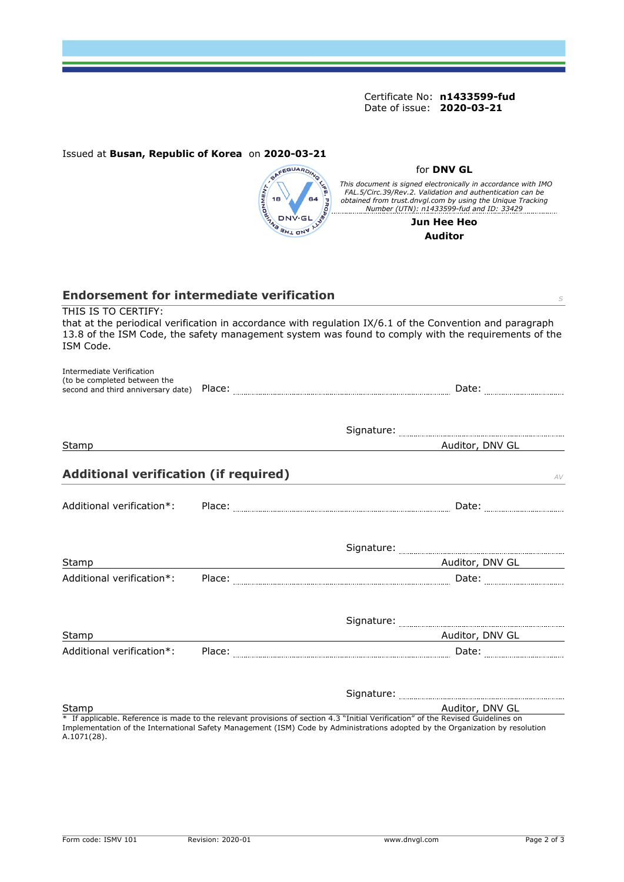<span id="page-1-0"></span>Certificate No: **[n1433599-fud](#page-0-0)** Date of issue: **[2020-03-21](#page-1-0)**

for **DNV GL**

|                                                           | <b>ANSWER DRY.</b><br>BOOK DRY. | <b>JFE. PROPE</b><br>This document is signed electronically in accordance with IMO<br>FAL.5/Circ.39/Rev.2. Validation and authentication can be<br>obtained from trust.dnvgl.com by using the Unique Tracking<br>$\frac{1}{2}$ Number (UTN): $n1433599$ -fud and ID: 33429 |
|-----------------------------------------------------------|---------------------------------|----------------------------------------------------------------------------------------------------------------------------------------------------------------------------------------------------------------------------------------------------------------------------|
|                                                           |                                 | Jun Hee Heo                                                                                                                                                                                                                                                                |
|                                                           |                                 | <b>Auditor</b>                                                                                                                                                                                                                                                             |
|                                                           |                                 |                                                                                                                                                                                                                                                                            |
|                                                           |                                 |                                                                                                                                                                                                                                                                            |
|                                                           |                                 |                                                                                                                                                                                                                                                                            |
| <b>Endorsement for intermediate verification</b>          |                                 | S                                                                                                                                                                                                                                                                          |
| THIS IS TO CERTIFY:<br>ISM Code.                          |                                 | that at the periodical verification in accordance with regulation IX/6.1 of the Convention and paragraph<br>13.8 of the ISM Code, the safety management system was found to comply with the requirements of the                                                            |
| Intermediate Verification<br>(to be completed between the |                                 |                                                                                                                                                                                                                                                                            |
|                                                           |                                 |                                                                                                                                                                                                                                                                            |
| Stamp                                                     |                                 | Auditor, DNV GL                                                                                                                                                                                                                                                            |
| <b>Additional verification (if required)</b>              |                                 | AV                                                                                                                                                                                                                                                                         |
| Additional verification*:                                 |                                 |                                                                                                                                                                                                                                                                            |
|                                                           |                                 |                                                                                                                                                                                                                                                                            |
| Stamp                                                     |                                 |                                                                                                                                                                                                                                                                            |
| Additional verification*:                                 |                                 |                                                                                                                                                                                                                                                                            |
|                                                           |                                 |                                                                                                                                                                                                                                                                            |
| Stamp                                                     |                                 | Auditor, DNV GL                                                                                                                                                                                                                                                            |
| Additional verification*: Place:                          |                                 |                                                                                                                                                                                                                                                                            |
|                                                           |                                 |                                                                                                                                                                                                                                                                            |
| Stamp                                                     |                                 | Auditor, DNV GL                                                                                                                                                                                                                                                            |
| A.1071(28).                                               |                                 | * If applicable. Reference is made to the relevant provisions of section 4.3 "Initial Verification" of the Revised Guidelines on<br>Implementation of the International Safety Management (ISM) Code by Administrations adopted by the Organization by resolution          |

Issued at **Busan, Republic of Korea** on **2020-03-21**